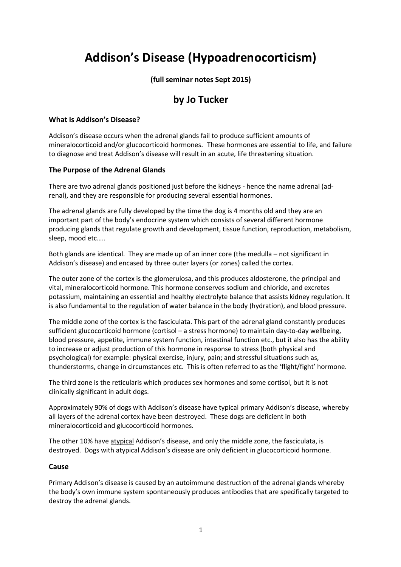# **Addison's Disease (Hypoadrenocorticism)**

### **(full seminar notes Sept 2015)**

# **by Jo Tucker**

#### **What is Addison's Disease?**

Addison's disease occurs when the adrenal glands fail to produce sufficient amounts of mineralocorticoid and/or glucocorticoid hormones. These hormones are essential to life, and failure to diagnose and treat Addison's disease will result in an acute, life threatening situation.

#### **The Purpose of the Adrenal Glands**

There are two adrenal glands positioned just before the kidneys - hence the name adrenal (adrenal), and they are responsible for producing several essential hormones.

The adrenal glands are fully developed by the time the dog is 4 months old and they are an important part of the body's endocrine system which consists of several different hormone producing glands that regulate growth and development, tissue function, reproduction, metabolism, sleep, mood etc…..

Both glands are identical. They are made up of an inner core (the medulla – not significant in Addison's disease) and encased by three outer layers (or zones) called the cortex.

The outer zone of the cortex is the glomerulosa, and this produces aldosterone, the principal and vital, mineralocorticoid hormone. This hormone conserves sodium and chloride, and excretes potassium, maintaining an essential and healthy electrolyte balance that assists kidney regulation. It is also fundamental to the regulation of water balance in the body (hydration), and blood pressure.

The middle zone of the cortex is the fasciculata. This part of the adrenal gland constantly produces sufficient glucocorticoid hormone (cortisol – a stress hormone) to maintain day-to-day wellbeing, blood pressure, appetite, immune system function, intestinal function etc., but it also has the ability to increase or adjust production of this hormone in response to stress (both physical and psychological) for example: physical exercise, injury, pain; and stressful situations such as, thunderstorms, change in circumstances etc. This is often referred to as the 'flight/fight' hormone.

The third zone is the reticularis which produces sex hormones and some cortisol, but it is not clinically significant in adult dogs.

Approximately 90% of dogs with Addison's disease have typical primary Addison's disease, whereby all layers of the adrenal cortex have been destroyed. These dogs are deficient in both mineralocorticoid and glucocorticoid hormones.

The other 10% have atypical Addison's disease, and only the middle zone, the fasciculata, is destroyed. Dogs with atypical Addison's disease are only deficient in glucocorticoid hormone.

#### **Cause**

Primary Addison's disease is caused by an autoimmune destruction of the adrenal glands whereby the body's own immune system spontaneously produces antibodies that are specifically targeted to destroy the adrenal glands.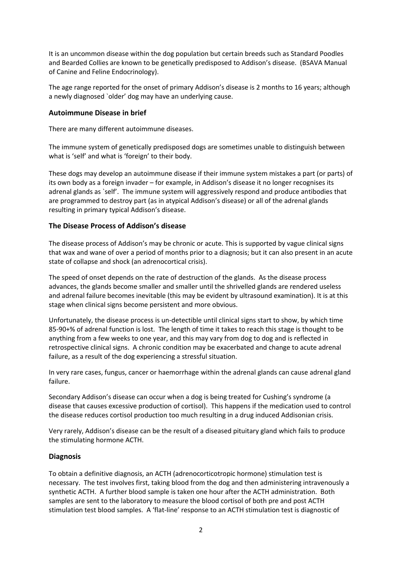It is an uncommon disease within the dog population but certain breeds such as Standard Poodles and Bearded Collies are known to be genetically predisposed to Addison's disease. (BSAVA Manual of Canine and Feline Endocrinology).

The age range reported for the onset of primary Addison's disease is 2 months to 16 years; although a newly diagnosed `older' dog may have an underlying cause.

#### **Autoimmune Disease in brief**

There are many different autoimmune diseases.

The immune system of genetically predisposed dogs are sometimes unable to distinguish between what is 'self' and what is 'foreign' to their body.

These dogs may develop an autoimmune disease if their immune system mistakes a part (or parts) of its own body as a foreign invader – for example, in Addison's disease it no longer recognises its adrenal glands as `self'. The immune system will aggressively respond and produce antibodies that are programmed to destroy part (as in atypical Addison's disease) or all of the adrenal glands resulting in primary typical Addison's disease.

#### **The Disease Process of Addison's disease**

The disease process of Addison's may be chronic or acute. This is supported by vague clinical signs that wax and wane of over a period of months prior to a diagnosis; but it can also present in an acute state of collapse and shock (an adrenocortical crisis).

The speed of onset depends on the rate of destruction of the glands. As the disease process advances, the glands become smaller and smaller until the shrivelled glands are rendered useless and adrenal failure becomes inevitable (this may be evident by ultrasound examination). It is at this stage when clinical signs become persistent and more obvious.

Unfortunately, the disease process is un-detectible until clinical signs start to show, by which time 85-90+% of adrenal function is lost. The length of time it takes to reach this stage is thought to be anything from a few weeks to one year, and this may vary from dog to dog and is reflected in retrospective clinical signs. A chronic condition may be exacerbated and change to acute adrenal failure, as a result of the dog experiencing a stressful situation.

In very rare cases, fungus, cancer or haemorrhage within the adrenal glands can cause adrenal gland failure.

Secondary Addison's disease can occur when a dog is being treated for Cushing's syndrome (a disease that causes excessive production of cortisol). This happens if the medication used to control the disease reduces cortisol production too much resulting in a drug induced Addisonian crisis.

Very rarely, Addison's disease can be the result of a diseased pituitary gland which fails to produce the stimulating hormone ACTH.

#### **Diagnosis**

To obtain a definitive diagnosis, an ACTH (adrenocorticotropic hormone) stimulation test is necessary. The test involves first, taking blood from the dog and then administering intravenously a synthetic ACTH. A further blood sample is taken one hour after the ACTH administration. Both samples are sent to the laboratory to measure the blood cortisol of both pre and post ACTH stimulation test blood samples. A 'flat-line' response to an ACTH stimulation test is diagnostic of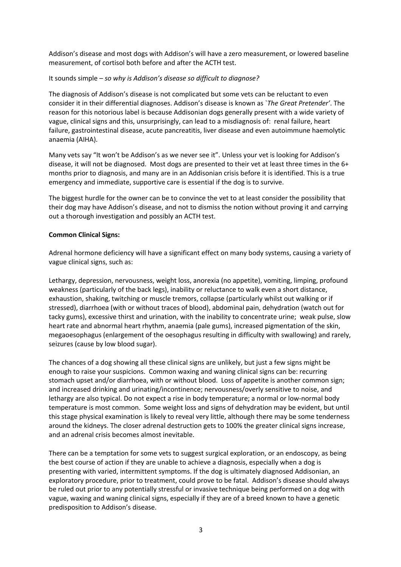Addison's disease and most dogs with Addison's will have a zero measurement, or lowered baseline measurement, of cortisol both before and after the ACTH test.

#### It sounds simple – *so why is Addison's disease so difficult to diagnose?*

The diagnosis of Addison's disease is not complicated but some vets can be reluctant to even consider it in their differential diagnoses. Addison's disease is known as `*The Great Pretender'*. The reason for this notorious label is because Addisonian dogs generally present with a wide variety of vague, clinical signs and this, unsurprisingly, can lead to a misdiagnosis of: renal failure, heart failure, gastrointestinal disease, acute pancreatitis, liver disease and even autoimmune haemolytic anaemia (AIHA).

Many vets say "It won't be Addison's as we never see it". Unless your vet is looking for Addison's disease, it will not be diagnosed. Most dogs are presented to their vet at least three times in the 6+ months prior to diagnosis, and many are in an Addisonian crisis before it is identified. This is a true emergency and immediate, supportive care is essential if the dog is to survive.

The biggest hurdle for the owner can be to convince the vet to at least consider the possibility that their dog may have Addison's disease, and not to dismiss the notion without proving it and carrying out a thorough investigation and possibly an ACTH test.

#### **Common Clinical Signs:**

Adrenal hormone deficiency will have a significant effect on many body systems, causing a variety of vague clinical signs, such as:

Lethargy, depression, nervousness, weight loss, anorexia (no appetite), vomiting, limping, profound weakness (particularly of the back legs), inability or reluctance to walk even a short distance, exhaustion, shaking, twitching or muscle tremors, collapse (particularly whilst out walking or if stressed), diarrhoea (with or without traces of blood), abdominal pain, dehydration (watch out for tacky gums), excessive thirst and urination, with the inability to concentrate urine; weak pulse, slow heart rate and abnormal heart rhythm, anaemia (pale gums), increased pigmentation of the skin, megaoesophagus (enlargement of the oesophagus resulting in difficulty with swallowing) and rarely, seizures (cause by low blood sugar).

The chances of a dog showing all these clinical signs are unlikely, but just a few signs might be enough to raise your suspicions. Common waxing and waning clinical signs can be: recurring stomach upset and/or diarrhoea, with or without blood. Loss of appetite is another common sign; and increased drinking and urinating/incontinence; nervousness/overly sensitive to noise, and lethargy are also typical. Do not expect a rise in body temperature; a normal or low-normal body temperature is most common. Some weight loss and signs of dehydration may be evident, but until this stage physical examination is likely to reveal very little, although there may be some tenderness around the kidneys. The closer adrenal destruction gets to 100% the greater clinical signs increase, and an adrenal crisis becomes almost inevitable.

There can be a temptation for some vets to suggest surgical exploration, or an endoscopy, as being the best course of action if they are unable to achieve a diagnosis, especially when a dog is presenting with varied, intermittent symptoms. If the dog is ultimately diagnosed Addisonian, an exploratory procedure, prior to treatment, could prove to be fatal. Addison's disease should always be ruled out prior to any potentially stressful or invasive technique being performed on a dog with vague, waxing and waning clinical signs, especially if they are of a breed known to have a genetic predisposition to Addison's disease.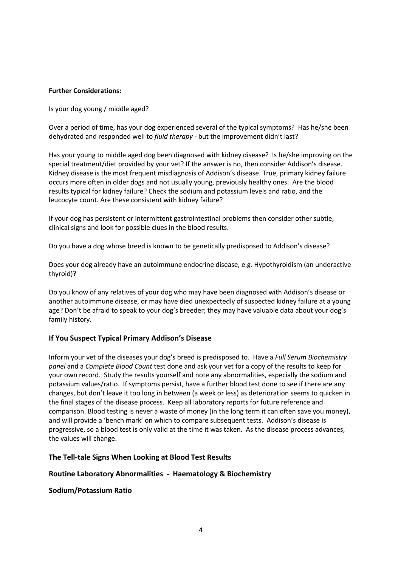#### **Further Considerations:**

Is your dog young / middle aged?

Over a period of time, has your dog experienced several of the typical symptoms? Has he/she been dehydrated and responded well to *fluid therapy -* but the improvement didn't last?

Has your young to middle aged dog been diagnosed with kidney disease? Is he/she improving on the special treatment/diet provided by your vet? If the answer is no, then consider Addison's disease. Kidney disease is the most frequent misdiagnosis of Addison's disease. True, primary kidney failure occurs more often in older dogs and not usually young, previously healthy ones. Are the blood results typical for kidney failure? Check the sodium and potassium levels and ratio, and the leucocyte count. Are these consistent with kidney failure?

If your dog has persistent or intermittent gastrointestinal problems then consider other subtle, clinical signs and look for possible clues in the blood results.

Do you have a dog whose breed is known to be genetically predisposed to Addison's disease?

Does your dog already have an autoimmune endocrine disease, e.g. Hypothyroidism (an underactive thyroid)?

Do you know of any relatives of your dog who may have been diagnosed with Addison's disease or another autoimmune disease, or may have died unexpectedly of suspected kidney failure at a young age? Don't be afraid to speak to your dog's breeder; they may have valuable data about your dog's family history.

#### **If You Suspect Typical Primary Addison's Disease**

Inform your vet of the diseases your dog's breed is predisposed to. Have a *Full Serum Biochemistry panel* and a *Complete Blood Count* test done and ask your vet for a copy of the results to keep for your own record. Study the results yourself and note any abnormalities, especially the sodium and potassium values/ratio. If symptoms persist, have a further blood test done to see if there are any changes, but don't leave it too long in between (a week or less) as deterioration seems to quicken in the final stages of the disease process. Keep all laboratory reports for future reference and comparison. Blood testing is never a waste of money (in the long term it can often save you money), and will provide a 'bench mark' on which to compare subsequent tests. Addison's disease is progressive, so a blood test is only valid at the time it was taken. As the disease process advances, the values will change.

#### **The Tell-tale Signs When Looking at Blood Test Results**

#### **Routine Laboratory Abnormalities - Haematology & Biochemistry**

#### **Sodium/Potassium Ratio**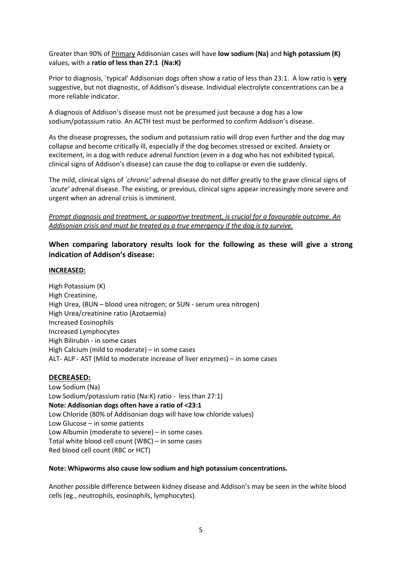Greater than 90% of Primary Addisonian cases will have **low sodium (Na)** and **high potassium (K)** values, with a **ratio of less than 27:1 (Na:K)**

Prior to diagnosis, `typical' Addisonian dogs often show a ratio of less than 23:1. A low ratio is **very** suggestive, but not diagnostic, of Addison's disease. Individual electrolyte concentrations can be a more reliable indicator.

A diagnosis of Addison's disease must not be presumed just because a dog has a low sodium/potassium ratio. An ACTH test must be performed to confirm Addison's disease.

As the disease progresses, the sodium and potassium ratio will drop even further and the dog may collapse and become critically ill, especially if the dog becomes stressed or excited. Anxiety or excitement, in a dog with reduce adrenal function (even in a dog who has not exhibited typical, clinical signs of Addison's disease) can cause the dog to collapse or even die suddenly.

The mild, clinical signs of *`chronic'* adrenal disease do not differ greatly to the grave clinical signs of *`acute'* adrenal disease. The existing, or previous, clinical signs appear increasingly more severe and urgent when an adrenal crisis is imminent.

#### *Prompt diagnosis and treatment, or supportive treatment, is crucial for a favourable outcome. An Addisonian crisis and must be treated as a true emergency if the dog is to survive.*

# **When comparing laboratory results look for the following as these will give a strong indication of Addison's disease:**

#### **INCREASED:**

High Potassium (K) High Creatinine, High Urea, (BUN – blood urea nitrogen; or SUN - serum urea nitrogen) High Urea/creatinine ratio (Azotaemia) Increased Eosinophils Increased Lymphocytes High Bilirubin - in some cases High Calcium (mild to moderate) – in some cases ALT- ALP - AST (Mild to moderate increase of liver enzymes) – in some cases

#### **DECREASED:**

Low Sodium (Na) Low Sodium/potassium ratio (Na:K) ratio - less than 27:1) **Note: Addisonian dogs often have a ratio of <23:1** Low Chloride (80% of Addisonian dogs will have low chloride values) Low Glucose – in some patients Low Albumin (moderate to severe) – in some cases Total white blood cell count (WBC) – in some cases Red blood cell count (RBC or HCT)

#### **Note: Whipworms also cause low sodium and high potassium concentrations.**

Another possible difference between kidney disease and Addison's may be seen in the white blood cells (eg., neutrophils, eosinophils, lymphocytes).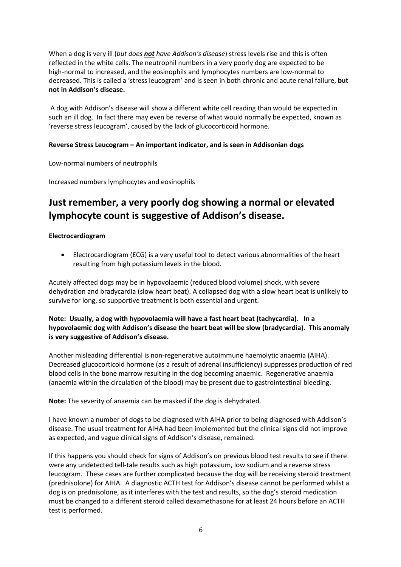When a dog is very ill (*but does not have Addison's disease*) stress levels rise and this is often reflected in the white cells. The neutrophil numbers in a very poorly dog are expected to be high-normal to increased, and the eosinophils and lymphocytes numbers are low-normal to decreased. This is called a 'stress leucogram' and is seen in both chronic and acute renal failure, **but not in Addison's disease.**

A dog with Addison's disease will show a different white cell reading than would be expected in such an ill dog. In fact there may even be reverse of what would normally be expected, known as 'reverse stress leucogram', caused by the lack of glucocorticoid hormone.

#### **Reverse Stress Leucogram – An important indicator, and is seen in Addisonian dogs**

Low-normal numbers of neutrophils

Increased numbers lymphocytes and eosinophils

# **Just remember, a very poorly dog showing a normal or elevated lymphocyte count is suggestive of Addison's disease.**

#### **Electrocardiogram**

• Electrocardiogram (ECG) is a very useful tool to detect various abnormalities of the heart resulting from high potassium levels in the blood.

Acutely affected dogs may be in hypovolaemic (reduced blood volume) shock, with severe dehydration and bradycardia (slow heart beat). A collapsed dog with a slow heart beat is unlikely to survive for long, so supportive treatment is both essential and urgent.

**Note: Usually, a dog with hypovolaemia will have a fast heart beat (tachycardia). In a hypovolaemic dog with Addison's disease the heart beat will be slow (bradycardia). This anomaly is very suggestive of Addison's disease.**

Another misleading differential is non-regenerative autoimmune haemolytic anaemia (AIHA). Decreased glucocorticoid hormone (as a result of adrenal insufficiency) suppresses production of red blood cells in the bone marrow resulting in the dog becoming anaemic. Regenerative anaemia (anaemia within the circulation of the blood) may be present due to gastrointestinal bleeding.

**Note:** The severity of anaemia can be masked if the dog is dehydrated.

I have known a number of dogs to be diagnosed with AIHA prior to being diagnosed with Addison's disease. The usual treatment for AIHA had been implemented but the clinical signs did not improve as expected, and vague clinical signs of Addison's disease, remained.

If this happens you should check for signs of Addison's on previous blood test results to see if there were any undetected tell-tale results such as high potassium, low sodium and a reverse stress leucogram. These cases are further complicated because the dog will be receiving steroid treatment (prednisolone) for AIHA. A diagnostic ACTH test for Addison's disease cannot be performed whilst a dog is on prednisolone, as it interferes with the test and results, so the dog's steroid medication must be changed to a different steroid called dexamethasone for at least 24 hours before an ACTH test is performed.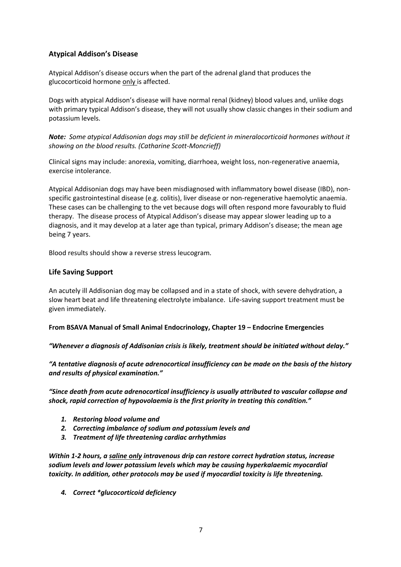# **Atypical Addison's Disease**

Atypical Addison's disease occurs when the part of the adrenal gland that produces the glucocorticoid hormone only is affected.

Dogs with atypical Addison's disease will have normal renal (kidney) blood values and, unlike dogs with primary typical Addison's disease, they will not usually show classic changes in their sodium and potassium levels.

*Note: Some atypical Addisonian dogs may still be deficient in mineralocorticoid hormones without it showing on the blood results. (Catharine Scott-Moncrieff)* 

Clinical signs may include: anorexia, vomiting, diarrhoea, weight loss, non-regenerative anaemia, exercise intolerance.

Atypical Addisonian dogs may have been misdiagnosed with inflammatory bowel disease (IBD), nonspecific gastrointestinal disease (e.g. colitis), liver disease or non-regenerative haemolytic anaemia. These cases can be challenging to the vet because dogs will often respond more favourably to fluid therapy. The disease process of Atypical Addison's disease may appear slower leading up to a diagnosis, and it may develop at a later age than typical, primary Addison's disease; the mean age being 7 years.

Blood results should show a reverse stress leucogram.

#### **Life Saving Support**

An acutely ill Addisonian dog may be collapsed and in a state of shock, with severe dehydration, a slow heart beat and life threatening electrolyte imbalance. Life-saving support treatment must be given immediately.

**From BSAVA Manual of Small Animal Endocrinology, Chapter 19 – Endocrine Emergencies** 

*"Whenever a diagnosis of Addisonian crisis is likely, treatment should be initiated without delay."* 

*"A tentative diagnosis of acute adrenocortical insufficiency can be made on the basis of the history and results of physical examination."* 

*"Since death from acute adrenocortical insufficiency is usually attributed to vascular collapse and shock, rapid correction of hypovolaemia is the first priority in treating this condition."*

- *1. Restoring blood volume and*
- *2. Correcting imbalance of sodium and potassium levels and*
- *3. Treatment of life threatening cardiac arrhythmias*

*Within 1-2 hours, a saline only intravenous drip can restore correct hydration status, increase sodium levels and lower potassium levels which may be causing hyperkalaemic myocardial toxicity. In addition, other protocols may be used if myocardial toxicity is life threatening.*

*4. Correct \*glucocorticoid deficiency*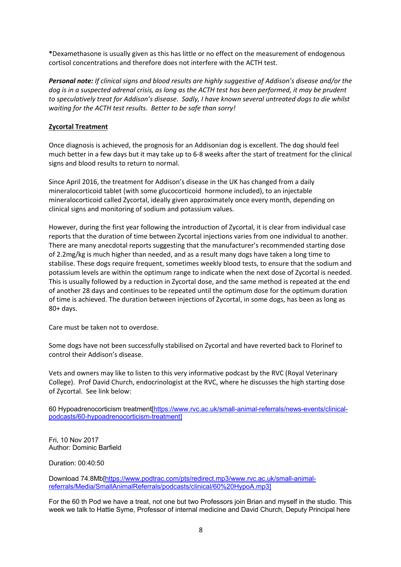**\***Dexamethasone is usually given as this has little or no effect on the measurement of endogenous cortisol concentrations and therefore does not interfere with the ACTH test.

*Personal note: If clinical signs and blood results are highly suggestive of Addison's disease and/or the dog is in a suspected adrenal crisis, as long as the ACTH test has been performed, it may be prudent to speculatively treat for Addison's disease. Sadly, I have known several untreated dogs to die whilst waiting for the ACTH test results. Better to be safe than sorry!*

#### **Zycortal Treatment**

Once diagnosis is achieved, the prognosis for an Addisonian dog is excellent. The dog should feel much better in a few days but it may take up to 6-8 weeks after the start of treatment for the clinical signs and blood results to return to normal.

Since April 2016, the treatment for Addison's disease in the UK has changed from a daily mineralocorticoid tablet (with some glucocorticoid hormone included), to an injectable mineralocorticoid called Zycortal, ideally given approximately once every month, depending on clinical signs and monitoring of sodium and potassium values.

However, during the first year following the introduction of Zycortal, it is clear from individual case reports that the duration of time between Zycortal injections varies from one individual to another. There are many anecdotal reports suggesting that the manufacturer's recommended starting dose of 2.2mg/kg is much higher than needed, and as a result many dogs have taken a long time to stabilise. These dogs require frequent, sometimes weekly blood tests, to ensure that the sodium and potassium levels are within the optimum range to indicate when the next dose of Zycortal is needed. This is usually followed by a reduction in Zycortal dose, and the same method is repeated at the end of another 28 days and continues to be repeated until the optimum dose for the optimum duration of time is achieved. The duration between injections of Zycortal, in some dogs, has been as long as 80+ days.

Care must be taken not to overdose.

Some dogs have not been successfully stabilised on Zycortal and have reverted back to Florinef to control their Addison's disease.

Vets and owners may like to listen to this very informative podcast by the RVC (Royal Veterinary College). Prof David Church, endocrinologist at the RVC, where he discusses the high starting dose of Zycortal. See link below:

60 Hypoadrenocorticism treatment[https://www.rvc.ac.uk/small-animal-referrals/news-events/clinicalpodcasts/60-hypoadrenocorticism-treatment]

Fri, 10 Nov 2017 Author: Dominic Barfield

Duration: 00:40:50

Download 74.8Mb[https://www.podtrac.com/pts/redirect.mp3/www.rvc.ac.uk/small-animalreferrals/Media/SmallAnimalReferrals/podcasts/clinical/60%20HypoA.mp3]

For the 60 th Pod we have a treat, not one but two Professors join Brian and myself in the studio. This week we talk to Hattie Syme, Professor of internal medicine and David Church, Deputy Principal here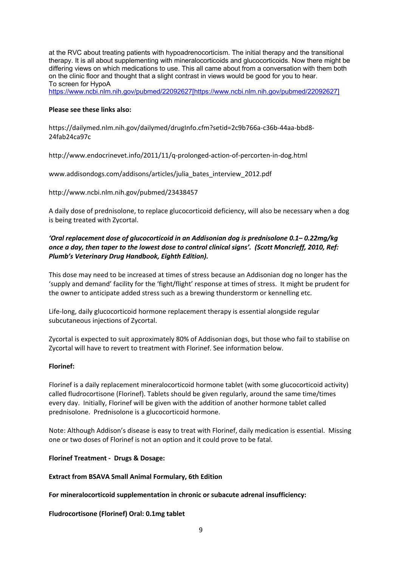at the RVC about treating patients with hypoadrenocorticism. The initial therapy and the transitional therapy. It is all about supplementing with mineralocorticoids and glucocorticoids. Now there might be differing views on which medications to use. This all came about from a conversation with them both on the clinic floor and thought that a slight contrast in views would be good for you to hear. To screen for HypoA

https://www.ncbi.nlm.nih.gov/pubmed/22092627[https://www.ncbi.nlm.nih.gov/pubmed/22092627]

#### **Please see these links also:**

https://dailymed.nlm.nih.gov/dailymed/drugInfo.cfm?setid=2c9b766a-c36b-44aa-bbd8- 24fab24ca97c

http://www.endocrinevet.info/2011/11/q-prolonged-action-of-percorten-in-dog.html

www.addisondogs.com/addisons/articles/julia\_bates\_interview\_2012.pdf

http://www.ncbi.nlm.nih.gov/pubmed/23438457

A daily dose of prednisolone, to replace glucocorticoid deficiency, will also be necessary when a dog is being treated with Zycortal.

### *'Oral replacement dose of glucocorticoid in an Addisonian dog is prednisolone 0.1– 0.22mg/kg once a day, then taper to the lowest dose to control clinical signs'. (Scott Moncrieff, 2010, Ref: Plumb's Veterinary Drug Handbook, Eighth Edition).*

This dose may need to be increased at times of stress because an Addisonian dog no longer has the 'supply and demand' facility for the 'fight/flight' response at times of stress. It might be prudent for the owner to anticipate added stress such as a brewing thunderstorm or kennelling etc.

Life-long, daily glucocorticoid hormone replacement therapy is essential alongside regular subcutaneous injections of Zycortal.

Zycortal is expected to suit approximately 80% of Addisonian dogs, but those who fail to stabilise on Zycortal will have to revert to treatment with Florinef. See information below.

#### **Florinef:**

Florinef is a daily replacement mineralocorticoid hormone tablet (with some glucocorticoid activity) called fludrocortisone (Florinef). Tablets should be given regularly, around the same time/times every day. Initially, Florinef will be given with the addition of another hormone tablet called prednisolone. Prednisolone is a glucocorticoid hormone.

Note: Although Addison's disease is easy to treat with Florinef, daily medication is essential. Missing one or two doses of Florinef is not an option and it could prove to be fatal.

#### **Florinef Treatment - Drugs & Dosage:**

#### **Extract from BSAVA Small Animal Formulary, 6th Edition**

**For mineralocorticoid supplementation in chronic or subacute adrenal insufficiency:**

**Fludrocortisone (Florinef) Oral: 0.1mg tablet**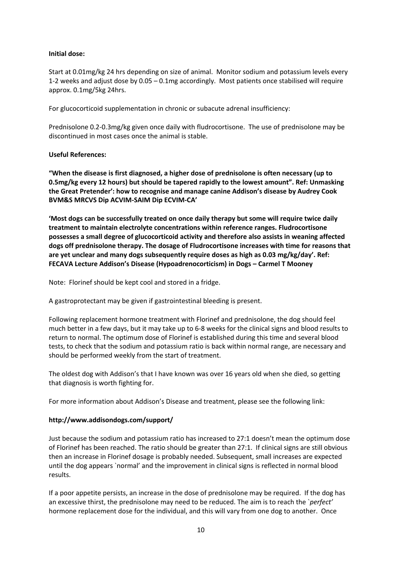#### **Initial dose:**

Start at 0.01mg/kg 24 hrs depending on size of animal. Monitor sodium and potassium levels every 1-2 weeks and adjust dose by 0.05 – 0.1mg accordingly. Most patients once stabilised will require approx. 0.1mg/5kg 24hrs.

For glucocorticoid supplementation in chronic or subacute adrenal insufficiency:

Prednisolone 0.2-0.3mg/kg given once daily with fludrocortisone. The use of prednisolone may be discontinued in most cases once the animal is stable.

#### **Useful References:**

**"When the disease is first diagnosed, a higher dose of prednisolone is often necessary (up to 0.5mg/kg every 12 hours) but should be tapered rapidly to the lowest amount". Ref: Unmasking the Great Pretender': how to recognise and manage canine Addison's disease by Audrey Cook BVM&S MRCVS Dip ACVIM-SAIM Dip ECVIM-CA'**

**'Most dogs can be successfully treated on once daily therapy but some will require twice daily treatment to maintain electrolyte concentrations within reference ranges. Fludrocortisone possesses a small degree of glucocorticoid activity and therefore also assists in weaning affected dogs off prednisolone therapy. The dosage of Fludrocortisone increases with time for reasons that are yet unclear and many dogs subsequently require doses as high as 0.03 mg/kg/day'. Ref: FECAVA Lecture Addison's Disease (Hypoadrenocorticism) in Dogs – Carmel T Mooney**

Note: Florinef should be kept cool and stored in a fridge.

A gastroprotectant may be given if gastrointestinal bleeding is present.

Following replacement hormone treatment with Florinef and prednisolone, the dog should feel much better in a few days, but it may take up to 6-8 weeks for the clinical signs and blood results to return to normal. The optimum dose of Florinef is established during this time and several blood tests, to check that the sodium and potassium ratio is back within normal range, are necessary and should be performed weekly from the start of treatment.

The oldest dog with Addison's that I have known was over 16 years old when she died, so getting that diagnosis is worth fighting for.

For more information about Addison's Disease and treatment, please see the following link:

#### **http://www.addisondogs.com/support/**

Just because the sodium and potassium ratio has increased to 27:1 doesn't mean the optimum dose of Florinef has been reached. The ratio should be greater than 27:1. If clinical signs are still obvious then an increase in Florinef dosage is probably needed. Subsequent, small increases are expected until the dog appears `normal' and the improvement in clinical signs is reflected in normal blood results.

If a poor appetite persists, an increase in the dose of prednisolone may be required. If the dog has an excessive thirst, the prednisolone may need to be reduced. The aim is to reach the `*perfect'* hormone replacement dose for the individual, and this will vary from one dog to another. Once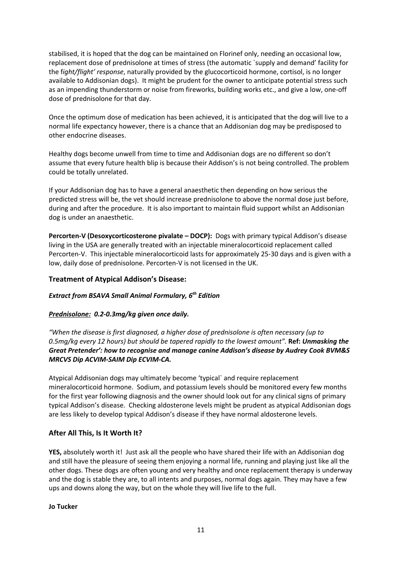stabilised, it is hoped that the dog can be maintained on Florinef only, needing an occasional low, replacement dose of prednisolone at times of stress (the automatic `supply and demand' facility for the f*ight/flight' response*, naturally provided by the glucocorticoid hormone, cortisol, is no longer available to Addisonian dogs). It might be prudent for the owner to anticipate potential stress such as an impending thunderstorm or noise from fireworks, building works etc., and give a low, one-off dose of prednisolone for that day.

Once the optimum dose of medication has been achieved, it is anticipated that the dog will live to a normal life expectancy however, there is a chance that an Addisonian dog may be predisposed to other endocrine diseases.

Healthy dogs become unwell from time to time and Addisonian dogs are no different so don't assume that every future health blip is because their Addison's is not being controlled. The problem could be totally unrelated.

If your Addisonian dog has to have a general anaesthetic then depending on how serious the predicted stress will be, the vet should increase prednisolone to above the normal dose just before, during and after the procedure. It is also important to maintain fluid support whilst an Addisonian dog is under an anaesthetic.

**Percorten-V (Desoxycorticosterone pivalate – DOCP):** Dogs with primary typical Addison's disease living in the USA are generally treated with an injectable mineralocorticoid replacement called Percorten-V. This injectable mineralocorticoid lasts for approximately 25-30 days and is given with a low, daily dose of prednisolone. Percorten-V is not licensed in the UK.

#### **Treatment of Atypical Addison's Disease:**

#### *Extract from BSAVA Small Animal Formulary, 6th Edition*

#### *Prednisolone: 0.2-0.3mg/kg given once daily.*

*"When the disease is first diagnosed, a higher dose of prednisolone is often necessary (up to 0.5mg/kg every 12 hours) but should be tapered rapidly to the lowest amount".* **Ref:** *Unmasking the Great Pretender': how to recognise and manage canine Addison's disease by Audrey Cook BVM&S MRCVS Dip ACVIM-SAIM Dip ECVIM-CA.*

Atypical Addisonian dogs may ultimately become 'typical` and require replacement mineralocorticoid hormone. Sodium, and potassium levels should be monitored every few months for the first year following diagnosis and the owner should look out for any clinical signs of primary typical Addison's disease. Checking aldosterone levels might be prudent as atypical Addisonian dogs are less likely to develop typical Addison's disease if they have normal aldosterone levels.

#### **After All This, Is It Worth It?**

**YES,** absolutely worth it! Just ask all the people who have shared their life with an Addisonian dog and still have the pleasure of seeing them enjoying a normal life, running and playing just like all the other dogs. These dogs are often young and very healthy and once replacement therapy is underway and the dog is stable they are, to all intents and purposes, normal dogs again. They may have a few ups and downs along the way, but on the whole they will live life to the full.

**Jo Tucker**